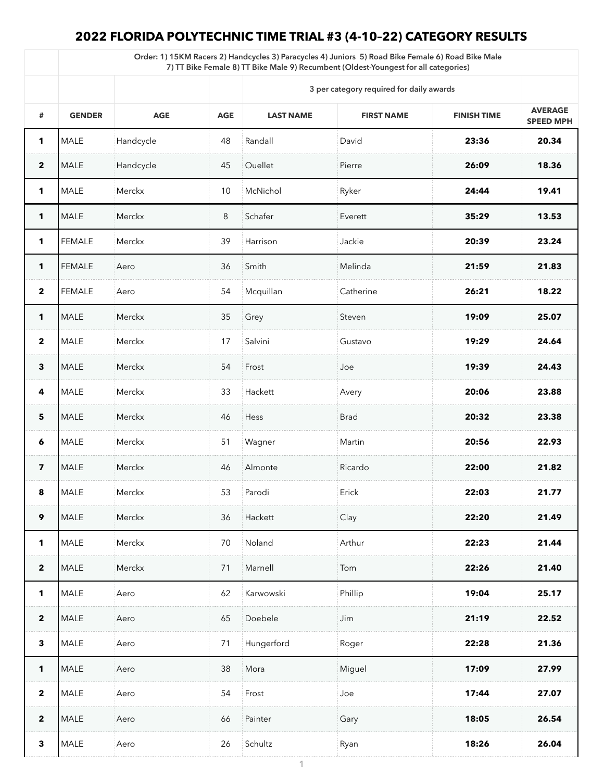## **2022 FLORIDA POLYTECHNIC TIME TRIAL #3 (4-10–22) CATEGORY RESULTS**

| Order: 1) 15KM Racers 2) Handcycles 3) Paracycles 4) Juniors 5) Road Bike Female 6) Road Bike Male<br>7) TT Bike Female 8) TT Bike Male 9) Recumbent (Oldest-Youngest for all categories) |                                          |               |            |                  |                   |                    |                                    |  |
|-------------------------------------------------------------------------------------------------------------------------------------------------------------------------------------------|------------------------------------------|---------------|------------|------------------|-------------------|--------------------|------------------------------------|--|
|                                                                                                                                                                                           | 3 per category required for daily awards |               |            |                  |                   |                    |                                    |  |
| #                                                                                                                                                                                         | <b>GENDER</b>                            | <b>AGE</b>    | <b>AGE</b> | <b>LAST NAME</b> | <b>FIRST NAME</b> | <b>FINISH TIME</b> | <b>AVERAGE</b><br><b>SPEED MPH</b> |  |
| 1                                                                                                                                                                                         | <b>MALE</b>                              | Handcycle     | 48         | Randall          | David             | 23:36              | 20.34                              |  |
| $\overline{\mathbf{2}}$                                                                                                                                                                   | <b>MALE</b>                              | Handcycle     | 45         | Ouellet          | Pierre            | 26:09              | 18.36                              |  |
| 1                                                                                                                                                                                         | <b>MALE</b>                              | <b>Merckx</b> | 10         | McNichol         | Ryker             | 24:44              | 19.41                              |  |
| 1                                                                                                                                                                                         | <b>MALE</b>                              | <b>Merckx</b> | 8          | Schafer          | Everett           | 35:29              | 13.53                              |  |
| 1                                                                                                                                                                                         | <b>FEMALE</b>                            | Merckx        | 39         | Harrison         | Jackie            | 20:39              | 23.24                              |  |
| 1                                                                                                                                                                                         | <b>FEMALE</b>                            | Aero          | 36         | Smith            | Melinda           | 21:59              | 21.83                              |  |
| $\overline{2}$                                                                                                                                                                            | <b>FEMALE</b>                            | Aero          | 54         | Mcquillan        | Catherine         | 26:21              | 18.22                              |  |
| 1                                                                                                                                                                                         | <b>MALE</b>                              | Merckx        | 35         | Grey             | Steven            | 19:09              | 25.07                              |  |
| $\overline{2}$                                                                                                                                                                            | <b>MALE</b>                              | Merckx        | 17         | Salvini          | Gustavo           | 19:29              | 24.64                              |  |
| $\mathbf{3}$                                                                                                                                                                              | <b>MALE</b>                              | <b>Merckx</b> | 54         | Frost            | Joe               | 19:39              | 24.43                              |  |
| 4                                                                                                                                                                                         | <b>MALE</b>                              | Merckx        | 33         | Hackett          | Avery             | 20:06              | 23.88                              |  |
| $5\phantom{1}$                                                                                                                                                                            | <b>MALE</b>                              | <b>Merckx</b> | 46         | Hess             | <b>Brad</b>       | 20:32              | 23.38                              |  |
| 6                                                                                                                                                                                         | <b>MALE</b>                              | Merckx        | 51         | Wagner           | Martin            | 20:56              | 22.93                              |  |
| $\overline{\mathbf{z}}$                                                                                                                                                                   | <b>MALE</b>                              | <b>Merckx</b> | 46         | Almonte          | Ricardo           | 22:00              | 21.82                              |  |
| 8                                                                                                                                                                                         | <b>MALE</b>                              | Merckx        | 53         | Parodi           | Erick             | 22:03              | 21.77                              |  |
| 9                                                                                                                                                                                         | <b>MALE</b>                              | <b>Merckx</b> | 36         | Hackett          | Clay              | 22:20              | 21.49                              |  |
| 1                                                                                                                                                                                         | <b>MALE</b>                              | Merckx        | 70         | Noland           | Arthur            | 22:23              | 21.44                              |  |
| $\overline{2}$                                                                                                                                                                            | <b>MALE</b>                              | Merckx        | 71         | Marnell          | Tom               | 22:26              | 21.40                              |  |
| 1                                                                                                                                                                                         | <b>MALE</b>                              | Aero          | 62         | Karwowski        | Phillip           | 19:04              | 25.17                              |  |
| $\overline{2}$                                                                                                                                                                            | <b>MALE</b>                              | Aero          | 65         | Doebele          | Jim               | 21:19              | 22.52                              |  |
| $\mathbf{3}$                                                                                                                                                                              | <b>MALE</b>                              | Aero          | 71         | Hungerford       | Roger             | 22:28              | 21.36                              |  |
| 1                                                                                                                                                                                         | <b>MALE</b>                              | Aero          | 38         | Mora             | Miguel            | 17:09              | 27.99                              |  |
| $\mathbf{2}$                                                                                                                                                                              | <b>MALE</b>                              | Aero          | 54         | Frost            | Joe               | 17:44              | 27.07                              |  |
| $\overline{2}$                                                                                                                                                                            | <b>MALE</b>                              | Aero          | 66         | Painter          | Gary              | 18:05              | 26.54                              |  |
| $\mathbf{3}$                                                                                                                                                                              | <b>MALE</b>                              | Aero          | 26         | Schultz          | : Ryan            | 18:26              | 26.04                              |  |
|                                                                                                                                                                                           |                                          |               |            |                  |                   |                    |                                    |  |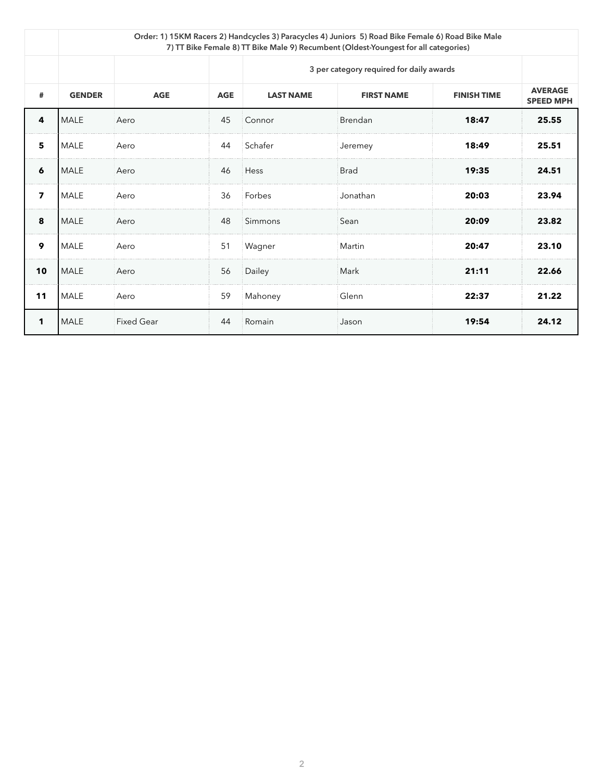|                         | Order: 1) 15KM Racers 2) Handcycles 3) Paracycles 4) Juniors 5) Road Bike Female 6) Road Bike Male<br>7) TT Bike Female 8) TT Bike Male 9) Recumbent (Oldest-Youngest for all categories) |                   |            |                                          |                   |                    |                                    |  |  |  |
|-------------------------|-------------------------------------------------------------------------------------------------------------------------------------------------------------------------------------------|-------------------|------------|------------------------------------------|-------------------|--------------------|------------------------------------|--|--|--|
|                         |                                                                                                                                                                                           |                   |            | 3 per category required for daily awards |                   |                    |                                    |  |  |  |
| #                       | <b>GENDER</b>                                                                                                                                                                             | <b>AGE</b>        | <b>AGE</b> | <b>LAST NAME</b>                         | <b>FIRST NAME</b> | <b>FINISH TIME</b> | <b>AVERAGE</b><br><b>SPEED MPH</b> |  |  |  |
| 4                       | <b>MALE</b>                                                                                                                                                                               | Aero              | 45         | Connor                                   | <b>Brendan</b>    | 18:47              | 25.55                              |  |  |  |
| $5\phantom{1}$          | <b>MALE</b>                                                                                                                                                                               | Aero              | 44         | Schafer                                  | Jeremey           | 18:49              | 25.51                              |  |  |  |
| 6                       | <b>MALE</b>                                                                                                                                                                               | Aero              | 46         | Hess                                     | <b>Brad</b>       | 19:35              | 24.51                              |  |  |  |
| $\overline{\mathbf{z}}$ | MALE                                                                                                                                                                                      | Aero              | 36         | Forbes                                   | Jonathan          | 20:03              | 23.94                              |  |  |  |
| 8                       | MALE                                                                                                                                                                                      | Aero              | 48         | Simmons                                  | Sean              | 20:09              | 23.82                              |  |  |  |
| 9                       | <b>MALE</b>                                                                                                                                                                               | Aero              | 51         | Wagner                                   | Martin            | 20:47              | 23.10                              |  |  |  |
| 10                      | <b>MALE</b>                                                                                                                                                                               | Aero              | 56         | Dailey                                   | Mark              | 21:11              | 22.66                              |  |  |  |
| 11                      | <b>MALE</b>                                                                                                                                                                               | Aero              | 59         | Mahoney                                  | Glenn             | 22:37              | 21.22                              |  |  |  |
| 1                       | <b>MALE</b>                                                                                                                                                                               | <b>Fixed Gear</b> | 44         | Romain                                   | Jason             | 19:54              | 24.12                              |  |  |  |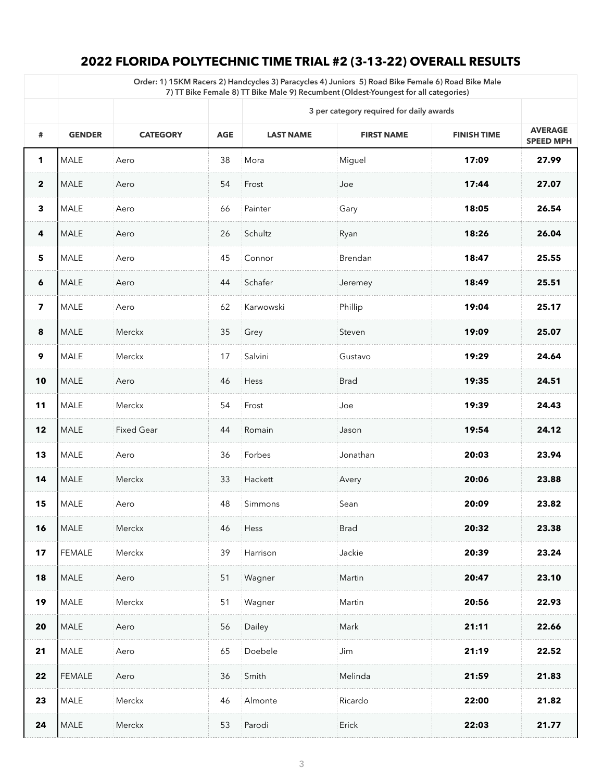## **2022 FLORIDA POLYTECHNIC TIME TRIAL #2 (3-13-22) OVERALL RESULTS**

|                         | Order: 1) 15KM Racers 2) Handcycles 3) Paracycles 4) Juniors 5) Road Bike Female 6) Road Bike Male<br>7) TT Bike Female 8) TT Bike Male 9) Recumbent (Oldest-Youngest for all categories) |                   |            |                                          |                   |                    |                                    |  |
|-------------------------|-------------------------------------------------------------------------------------------------------------------------------------------------------------------------------------------|-------------------|------------|------------------------------------------|-------------------|--------------------|------------------------------------|--|
|                         |                                                                                                                                                                                           |                   |            | 3 per category required for daily awards |                   |                    |                                    |  |
| #                       | <b>GENDER</b>                                                                                                                                                                             | <b>CATEGORY</b>   | <b>AGE</b> | <b>LAST NAME</b>                         | <b>FIRST NAME</b> | <b>FINISH TIME</b> | <b>AVERAGE</b><br><b>SPEED MPH</b> |  |
| 1                       | <b>MALE</b>                                                                                                                                                                               | Aero              | 38         | Mora                                     | Miguel            | 17:09              | 27.99                              |  |
| $\overline{2}$          | <b>MALE</b>                                                                                                                                                                               | Aero              | 54         | Frost                                    | Joe               | 17:44              | 27.07                              |  |
| $\mathbf{3}$            | <b>MALE</b>                                                                                                                                                                               | Aero              | 66         | Painter                                  | Gary              | 18:05              | 26.54                              |  |
| 4                       | <b>MALE</b>                                                                                                                                                                               | Aero              | 26         | Schultz                                  | Ryan              | 18:26              | 26.04                              |  |
| $5\phantom{1}$          | <b>MALE</b>                                                                                                                                                                               | Aero              | 45         | Connor                                   | <b>Brendan</b>    | 18:47              | 25.55                              |  |
| $\boldsymbol{6}$        | <b>MALE</b>                                                                                                                                                                               | Aero              | 44         | Schafer                                  | Jeremey           | 18:49              | 25.51                              |  |
| $\overline{\mathbf{z}}$ | <b>MALE</b>                                                                                                                                                                               | Aero              | 62         | Karwowski                                | Phillip           | 19:04              | 25.17                              |  |
| 8                       | <b>MALE</b>                                                                                                                                                                               | Merckx            | 35         | Grey                                     | Steven            | 19:09              | 25.07                              |  |
| 9                       | <b>MALE</b>                                                                                                                                                                               | Merckx            | 17         | Salvini                                  | Gustavo           | 19:29              | 24.64                              |  |
| 10                      | <b>MALE</b>                                                                                                                                                                               | Aero              | 46         | Hess                                     | <b>Brad</b>       | 19:35              | 24.51                              |  |
| $11$                    | <b>MALE</b>                                                                                                                                                                               | Merckx            | 54         | Frost                                    | Joe               | 19:39              | 24.43                              |  |
| 12                      | <b>MALE</b>                                                                                                                                                                               | <b>Fixed Gear</b> | 44         | Romain                                   | Jason             | 19:54              | 24.12                              |  |
| 13                      | <b>MALE</b>                                                                                                                                                                               | Aero              | 36         | Forbes                                   | Jonathan          | 20:03              | 23.94                              |  |
| 14                      | <b>MALE</b>                                                                                                                                                                               | Merckx            | 33         | Hackett                                  | Avery             | 20:06              | 23.88                              |  |
| 15                      | <b>MALE</b>                                                                                                                                                                               | Aero              | 48         | Simmons                                  | Sean              | 20:09              | 23.82                              |  |
| 16                      | <b>MALE</b>                                                                                                                                                                               | Merckx            | 46         | Hess                                     | <b>Brad</b>       | 20:32              | 23.38                              |  |
| 17                      | <b>FEMALE</b>                                                                                                                                                                             | Merckx            | 39         | Harrison                                 | Jackie            | 20:39              | 23.24                              |  |
|                         | $18$ MALE                                                                                                                                                                                 | Aero              |            | 51 Wagner                                | Martin            | 20:47              | 23.10                              |  |
| 19                      | <b>MALE</b>                                                                                                                                                                               | Merckx            | 51         | Wagner                                   | Martin            | 20:56              | 22.93                              |  |
| <b>20</b>               | <b>MALE</b>                                                                                                                                                                               | Aero              | 56         | Dailey                                   | Mark              | 21:11              | 22.66                              |  |
| 21                      | <b>MALE</b>                                                                                                                                                                               | Aero              | 65         | Doebele                                  | Jim               | 21:19              | 22.52                              |  |
| 22                      | <b>FEMALE</b>                                                                                                                                                                             | Aero              | 36         | Smith                                    | Melinda           | 21:59              | 21.83                              |  |
| 23                      | <b>MALE</b>                                                                                                                                                                               | Merckx            | 46         | Almonte                                  | Ricardo           | 22:00              | 21.82                              |  |
| 24                      | <b>MALE</b>                                                                                                                                                                               | Merckx            | 53         | Parodi                                   | Erick             | 22:03              | 21.77                              |  |